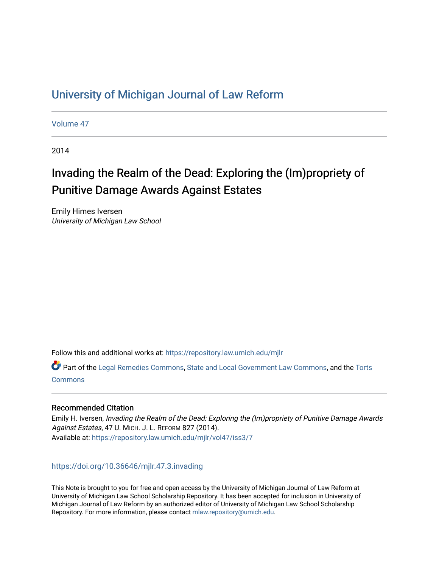# [University of Michigan Journal of Law Reform](https://repository.law.umich.edu/mjlr)

[Volume 47](https://repository.law.umich.edu/mjlr/vol47)

2014

# Invading the Realm of the Dead: Exploring the (Im)propriety of Punitive Damage Awards Against Estates

Emily Himes Iversen University of Michigan Law School

Follow this and additional works at: [https://repository.law.umich.edu/mjlr](https://repository.law.umich.edu/mjlr?utm_source=repository.law.umich.edu%2Fmjlr%2Fvol47%2Fiss3%2F7&utm_medium=PDF&utm_campaign=PDFCoverPages) 

Part of the [Legal Remedies Commons,](https://network.bepress.com/hgg/discipline/618?utm_source=repository.law.umich.edu%2Fmjlr%2Fvol47%2Fiss3%2F7&utm_medium=PDF&utm_campaign=PDFCoverPages) [State and Local Government Law Commons](https://network.bepress.com/hgg/discipline/879?utm_source=repository.law.umich.edu%2Fmjlr%2Fvol47%2Fiss3%2F7&utm_medium=PDF&utm_campaign=PDFCoverPages), and the [Torts](https://network.bepress.com/hgg/discipline/913?utm_source=repository.law.umich.edu%2Fmjlr%2Fvol47%2Fiss3%2F7&utm_medium=PDF&utm_campaign=PDFCoverPages) [Commons](https://network.bepress.com/hgg/discipline/913?utm_source=repository.law.umich.edu%2Fmjlr%2Fvol47%2Fiss3%2F7&utm_medium=PDF&utm_campaign=PDFCoverPages)

# Recommended Citation

Emily H. Iversen, Invading the Realm of the Dead: Exploring the (Im)propriety of Punitive Damage Awards Against Estates, 47 U. MICH. J. L. REFORM 827 (2014). Available at: [https://repository.law.umich.edu/mjlr/vol47/iss3/7](https://repository.law.umich.edu/mjlr/vol47/iss3/7?utm_source=repository.law.umich.edu%2Fmjlr%2Fvol47%2Fiss3%2F7&utm_medium=PDF&utm_campaign=PDFCoverPages) 

<https://doi.org/10.36646/mjlr.47.3.invading>

This Note is brought to you for free and open access by the University of Michigan Journal of Law Reform at University of Michigan Law School Scholarship Repository. It has been accepted for inclusion in University of Michigan Journal of Law Reform by an authorized editor of University of Michigan Law School Scholarship Repository. For more information, please contact [mlaw.repository@umich.edu](mailto:mlaw.repository@umich.edu).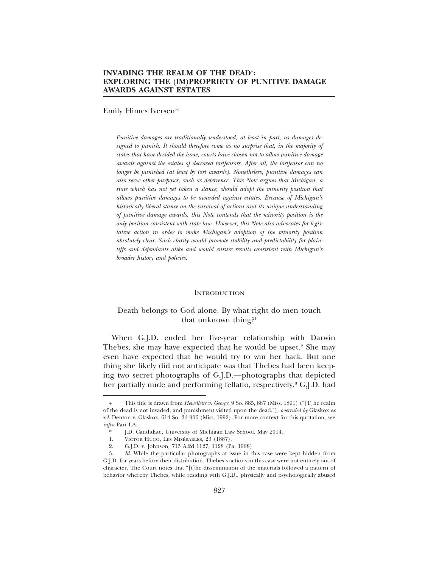Emily Himes Iversen\*

*Punitive damages are traditionally understood, at least in part, as damages designed to punish. It should therefore come as no surprise that, in the majority of states that have decided the issue, courts have chosen not to allow punitive damage awards against the estates of deceased tortfeasors. After all, the tortfeasor can no longer be punished (at least by tort awards). Nonetheless, punitive damages can also serve other purposes, such as deterrence. This Note argues that Michigan, a state which has not yet taken a stance, should adopt the minority position that allows punitive damages to be awarded against estates. Because of Michigan's historically liberal stance on the survival of actions and its unique understanding of punitive damage awards, this Note contends that the minority position is the only position consistent with state law. However, this Note also advocates for legislative action in order to make Michigan's adoption of the minority position absolutely clear. Such clarity would promote stability and predictability for plaintiffs and defendants alike and would ensure results consistent with Michigan's broader history and policies.*

#### **INTRODUCTION**

# Death belongs to God alone. By what right do men touch that unknown thing?1

When G.J.D. ended her five-year relationship with Darwin Thebes, she may have expected that he would be upset.<sup>2</sup> She may even have expected that he would try to win her back. But one thing she likely did not anticipate was that Thebes had been keeping two secret photographs of G.J.D.—photographs that depicted her partially nude and performing fellatio, respectively.<sup>3</sup> G.J.D. had

<sup>+</sup> This title is drawn from *Hewellette v. George*, 9 So. 885, 887 (Miss. 1891) ("[T]he realm of the dead is not invaded, and punishment visited upon the dead."), *overruled by* Glaskox *ex rel.* Denton v. Glaskox, 614 So. 2d 906 (Miss. 1992). For more context for this quotation, see *infra* Part I.A.

<sup>\*</sup> J.D. Candidate, University of Michigan Law School, May 2014.

<sup>1.</sup> VICTOR HUGO, LES MISÉRABLES, 23 (1887).

<sup>2.</sup> G.J.D. v. Johnson, 713 A.2d 1127, 1128 (Pa. 1998).

<sup>3.</sup> *Id.* While the particular photographs at issue in this case were kept hidden from G.J.D. for years before their distribution, Thebes's actions in this case were not entirely out of character. The Court notes that "[t]he dissemination of the materials followed a pattern of behavior whereby Thebes, while residing with G.J.D., physically and psychologically abused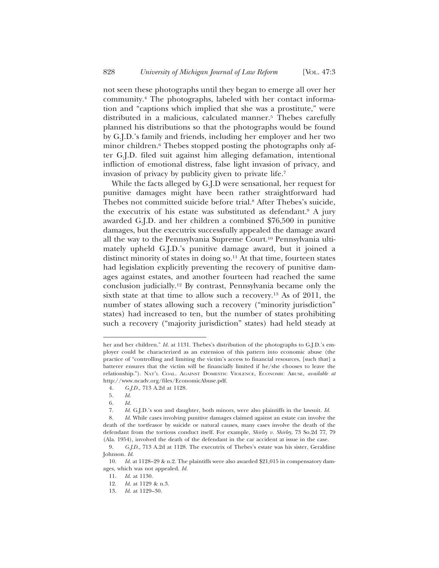not seen these photographs until they began to emerge all over her community.4 The photographs, labeled with her contact information and "captions which implied that she was a prostitute," were distributed in a malicious, calculated manner.<sup>5</sup> Thebes carefully planned his distributions so that the photographs would be found by G.J.D.'s family and friends, including her employer and her two minor children.6 Thebes stopped posting the photographs only after G.J.D. filed suit against him alleging defamation, intentional infliction of emotional distress, false light invasion of privacy, and invasion of privacy by publicity given to private life.7

While the facts alleged by G.J.D were sensational, her request for punitive damages might have been rather straightforward had Thebes not committed suicide before trial.8 After Thebes's suicide, the executrix of his estate was substituted as defendant.<sup>9</sup> A jury awarded G.J.D. and her children a combined \$76,500 in punitive damages, but the executrix successfully appealed the damage award all the way to the Pennsylvania Supreme Court.10 Pennsylvania ultimately upheld G.J.D.'s punitive damage award, but it joined a distinct minority of states in doing so.<sup>11</sup> At that time, fourteen states had legislation explicitly preventing the recovery of punitive damages against estates, and another fourteen had reached the same conclusion judicially.12 By contrast, Pennsylvania became only the sixth state at that time to allow such a recovery.13 As of 2011, the number of states allowing such a recovery ("minority jurisdiction" states) had increased to ten, but the number of states prohibiting such a recovery ("majority jurisdiction" states) had held steady at

her and her children." *Id.* at 1131. Thebes's distribution of the photographs to G.J.D.'s employer could be characterized as an extension of this pattern into economic abuse (the practice of "controlling and limiting the victim's access to financial resources, [such that] a batterer ensures that the victim will be financially limited if he/she chooses to leave the relationship."). NAT'L COAL. AGAINST DOMESTIC VIOLENCE, ECONOMIC ABUSE, *available at* http://www.ncadv.org/files/EconomicAbuse.pdf.

<sup>4.</sup> *G.J.D.*, 713 A.2d at 1128.

<sup>5.</sup> *Id.*

<sup>6.</sup> *Id.*

<sup>7.</sup> *Id.* G.J.D.'s son and daughter, both minors, were also plaintiffs in the lawsuit. *Id.*

<sup>8.</sup> *Id.* While cases involving punitive damages claimed against an estate can involve the death of the tortfeasor by suicide or natural causes, many cases involve the death of the defendant from the tortious conduct itself. For example, *Shirley v. Shirley*, 73 So.2d 77, 79 (Ala. 1954), involved the death of the defendant in the car accident at issue in the case.

<sup>9.</sup> *G.J.D.*, 713 A.2d at 1128. The executrix of Thebes's estate was his sister, Geraldine Johnson. *Id*.

<sup>10.</sup> *Id.* at 1128–29 & n.2. The plaintiffs were also awarded \$21,015 in compensatory damages, which was not appealed. *Id.*

<sup>11.</sup> *Id*. at 1130.

<sup>12.</sup> *Id*. at 1129 & n.3.

<sup>13.</sup> *Id*. at 1129–30.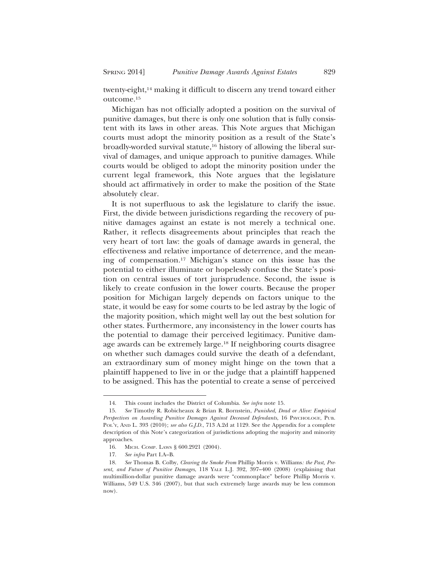twenty-eight,<sup>14</sup> making it difficult to discern any trend toward either outcome.15

Michigan has not officially adopted a position on the survival of punitive damages, but there is only one solution that is fully consistent with its laws in other areas. This Note argues that Michigan courts must adopt the minority position as a result of the State's broadly-worded survival statute,16 history of allowing the liberal survival of damages, and unique approach to punitive damages. While courts would be obliged to adopt the minority position under the current legal framework, this Note argues that the legislature should act affirmatively in order to make the position of the State absolutely clear.

It is not superfluous to ask the legislature to clarify the issue. First, the divide between jurisdictions regarding the recovery of punitive damages against an estate is not merely a technical one. Rather, it reflects disagreements about principles that reach the very heart of tort law: the goals of damage awards in general, the effectiveness and relative importance of deterrence, and the meaning of compensation.17 Michigan's stance on this issue has the potential to either illuminate or hopelessly confuse the State's position on central issues of tort jurisprudence. Second, the issue is likely to create confusion in the lower courts. Because the proper position for Michigan largely depends on factors unique to the state, it would be easy for some courts to be led astray by the logic of the majority position, which might well lay out the best solution for other states. Furthermore, any inconsistency in the lower courts has the potential to damage their perceived legitimacy. Punitive damage awards can be extremely large.18 If neighboring courts disagree on whether such damages could survive the death of a defendant, an extraordinary sum of money might hinge on the town that a plaintiff happened to live in or the judge that a plaintiff happened to be assigned. This has the potential to create a sense of perceived

<sup>14.</sup> This count includes the District of Columbia. *See infra* note 15.

<sup>15.</sup> *See* Timothy R. Robicheaux & Brian R. Bornstein, *Punished, Dead or Alive: Empirical Perspectives on Awarding Punitive Damages Against Deceased Defendants*, 16 PSYCHOLOGY, PUB. POL'Y, AND L. 393 (2010); *see also G.J.D.*, 713 A.2d at 1129. See the Appendix for a complete description of this Note's categorization of jurisdictions adopting the majority and minority approaches.

<sup>16.</sup> MICH. COMP. LAWS § 600.2921 (2004).

<sup>17.</sup> *See infra* Part I.A–B.

<sup>18.</sup> *See* Thomas B. Colby, *Clearing the Smoke From* Phillip Morris v. Williams*: the Past, Present, and Future of Punitive Damages*, 118 YALE L.J. 392, 397–400 (2008) (explaining that multimillion-dollar punitive damage awards were "commonplace" before Phillip Morris v. Williams, 549 U.S. 346 (2007), but that such extremely large awards may be less common now).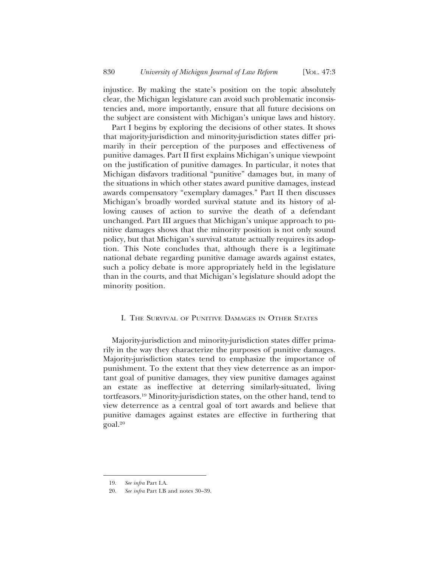injustice. By making the state's position on the topic absolutely clear, the Michigan legislature can avoid such problematic inconsistencies and, more importantly, ensure that all future decisions on the subject are consistent with Michigan's unique laws and history.

Part I begins by exploring the decisions of other states. It shows that majority-jurisdiction and minority-jurisdiction states differ primarily in their perception of the purposes and effectiveness of punitive damages. Part II first explains Michigan's unique viewpoint on the justification of punitive damages. In particular, it notes that Michigan disfavors traditional "punitive" damages but, in many of the situations in which other states award punitive damages, instead awards compensatory "exemplary damages." Part II then discusses Michigan's broadly worded survival statute and its history of allowing causes of action to survive the death of a defendant unchanged. Part III argues that Michigan's unique approach to punitive damages shows that the minority position is not only sound policy, but that Michigan's survival statute actually requires its adoption. This Note concludes that, although there is a legitimate national debate regarding punitive damage awards against estates, such a policy debate is more appropriately held in the legislature than in the courts, and that Michigan's legislature should adopt the minority position.

#### I. THE SURVIVAL OF PUNITIVE DAMAGES IN OTHER STATES

Majority-jurisdiction and minority-jurisdiction states differ primarily in the way they characterize the purposes of punitive damages. Majority-jurisdiction states tend to emphasize the importance of punishment. To the extent that they view deterrence as an important goal of punitive damages, they view punitive damages against an estate as ineffective at deterring similarly-situated, living tortfeasors.19 Minority-jurisdiction states, on the other hand, tend to view deterrence as a central goal of tort awards and believe that punitive damages against estates are effective in furthering that goal.20

<sup>19.</sup> *See infra* Part I.A.

<sup>20.</sup> *See infra* Part I.B and notes 30–39.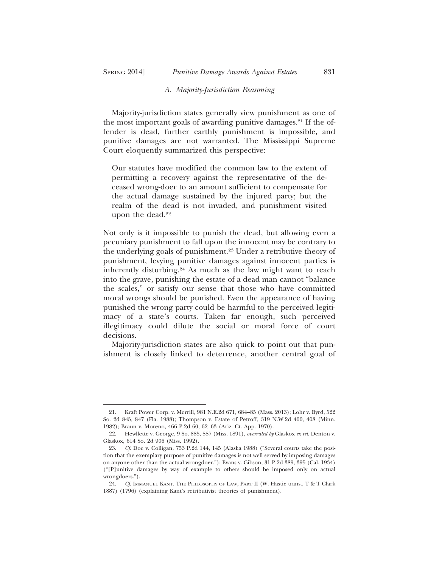#### *A. Majority-Jurisdiction Reasoning*

Majority-jurisdiction states generally view punishment as one of the most important goals of awarding punitive damages.<sup>21</sup> If the offender is dead, further earthly punishment is impossible, and punitive damages are not warranted. The Mississippi Supreme Court eloquently summarized this perspective:

Our statutes have modified the common law to the extent of permitting a recovery against the representative of the deceased wrong-doer to an amount sufficient to compensate for the actual damage sustained by the injured party; but the realm of the dead is not invaded, and punishment visited upon the dead.<sup>22</sup>

Not only is it impossible to punish the dead, but allowing even a pecuniary punishment to fall upon the innocent may be contrary to the underlying goals of punishment.23 Under a retributive theory of punishment, levying punitive damages against innocent parties is inherently disturbing.<sup>24</sup> As much as the law might want to reach into the grave, punishing the estate of a dead man cannot "balance the scales," or satisfy our sense that those who have committed moral wrongs should be punished. Even the appearance of having punished the wrong party could be harmful to the perceived legitimacy of a state's courts. Taken far enough, such perceived illegitimacy could dilute the social or moral force of court decisions.

Majority-jurisdiction states are also quick to point out that punishment is closely linked to deterrence, another central goal of

<sup>21.</sup> Kraft Power Corp. v. Merrill, 981 N.E.2d 671, 684–85 (Mass. 2013); Lohr v. Byrd, 522 So. 2d 845, 847 (Fla. 1988); Thompson v. Estate of Petroff, 319 N.W.2d 400, 408 (Minn. 1982); Braun v. Moreno, 466 P.2d 60, 62–63 (Ariz. Ct. App. 1970).

<sup>22.</sup> Hewllette v. George, 9 So. 885, 887 (Miss. 1891), *overruled by* Glaskox *ex rel.* Denton v. Glaskox, 614 So. 2d 906 (Miss. 1992).

<sup>23.</sup> *Cf*. Doe v. Colligan, 753 P.2d 144, 145 (Alaska 1988) ("Several courts take the position that the exemplary purpose of punitive damages is not well served by imposing damages on anyone other than the actual wrongdoer."); Evans v. Gibson, 31 P.2d 389, 395 (Cal. 1934) ("[P]unitive damages by way of example to others should be imposed only on actual wrongdoers.").

<sup>24.</sup> *Cf.* IMMANUEL KANT, THE PHILOSOPHY OF LAW, PART II (W. Hastie trans., T & T Clark 1887) (1796) (explaining Kant's retributivist theories of punishment).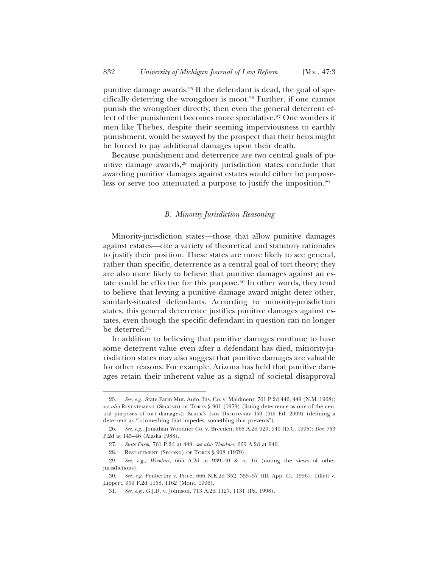punitive damage awards.25 If the defendant is dead, the goal of specifically deterring the wrongdoer is moot.26 Further, if one cannot punish the wrongdoer directly, then even the general deterrent effect of the punishment becomes more speculative.<sup>27</sup> One wonders if men like Thebes, despite their seeming imperviousness to earthly punishment, would be swayed by the prospect that their heirs might be forced to pay additional damages upon their death.

Because punishment and deterrence are two central goals of punitive damage awards,<sup>28</sup> majority jurisdiction states conclude that awarding punitive damages against estates would either be purposeless or serve too attenuated a purpose to justify the imposition.<sup>29</sup>

#### *B. Minority-Jurisdiction Reasoning*

Minority-jurisdiction states—those that allow punitive damages against estates—cite a variety of theoretical and statutory rationales to justify their position. These states are more likely to see general, rather than specific, deterrence as a central goal of tort theory; they are also more likely to believe that punitive damages against an estate could be effective for this purpose.30 In other words, they tend to believe that levying a punitive damage award might deter other, similarly-situated defendants. According to minority-jurisdiction states, this general deterrence justifies punitive damages against estates, even though the specific defendant in question can no longer be deterred.31

In addition to believing that punitive damages continue to have some deterrent value even after a defendant has died, minority-jurisdiction states may also suggest that punitive damages are valuable for other reasons. For example, Arizona has held that punitive damages retain their inherent value as a signal of societal disapproval

<sup>25.</sup> *See, e.g.*, State Farm Mut. Auto. Ins. Co. v. Maidment*,* 761 P.2d 446, 449 (N.M. 1968); *see also* RESTATEMENT (SECOND) OF TORTS § 901 (1979) (listing deterrence as one of the central purposes of tort damages); BLACK'S LAW DICTIONARY 450 (9th Ed. 2009) (defining a deterrent as "[s]omething that impedes; something that prevents").

<sup>26.</sup> *See, e.g.*, Jonathan Woodner Co. v. Breeden, 665 A.2d 929, 940 (D.C. 1995); *Doe*, 753 P.2d at 145–46 (Alaska 1988).

<sup>27.</sup> *State Farm*, 761 P.2d at 449; *see also Woodner*, 665 A.2d at 940.

<sup>28.</sup> RESTATEMENT (SECOND) OF TORTS § 908 (1979).

<sup>29.</sup> *See, e.g.*, *Woodner*, 665 A.2d at 939–40 & n. 16 (noting the views of other jurisdictions).

<sup>30.</sup> *See, e.g.* Penberthy v. Price*,* 666 N.E.2d 352, 355–57 (Ill. App. Ct. 1996); Tillett v. Lippert, 909 P.2d 1158, 1162 (Mont. 1996).

<sup>31.</sup> *See, e.g.*, G.J.D. v. Johnson, 713 A.2d 1127, 1131 (Pa. 1998).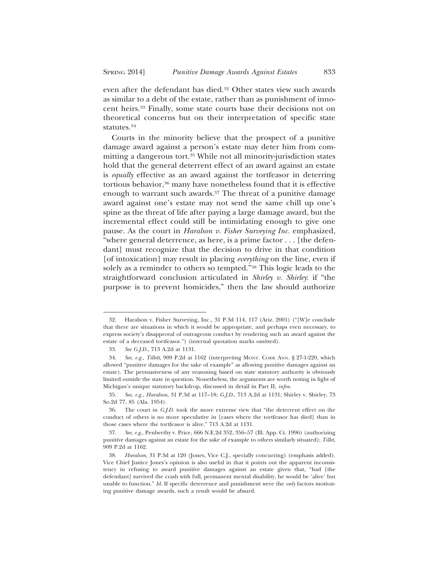even after the defendant has died.32 Other states view such awards as similar to a debt of the estate, rather than as punishment of innocent heirs.33 Finally, some state courts base their decisions not on theoretical concerns but on their interpretation of specific state statutes.34

Courts in the minority believe that the prospect of a punitive damage award against a person's estate may deter him from committing a dangerous tort.<sup>35</sup> While not all minority-jurisdiction states hold that the general deterrent effect of an award against an estate is *equally* effective as an award against the tortfeasor in deterring tortious behavior,<sup>36</sup> many have nonetheless found that it is effective enough to warrant such awards.<sup>37</sup> The threat of a punitive damage award against one's estate may not send the same chill up one's spine as the threat of life after paying a large damage award, but the incremental effect could still be intimidating enough to give one pause. As the court in *Haralson v. Fisher Surveying Inc.* emphasized, "where general deterrence, as here, is a prime factor . . . [the defendant] must recognize that the decision to drive in that condition [of intoxication] may result in placing *everything* on the line, even if solely as a reminder to others so tempted."38 This logic leads to the straightforward conclusion articulated in *Shirley v. Shirley*: if "the purpose is to prevent homicides," then the law should authorize

<sup>32.</sup> Haralson v. Fisher Surveying*,* Inc*.*, 31 P.3d 114, 117 (Ariz. 2001) ("[W]e conclude that there are situations in which it would be appropriate, and perhaps even necessary, to express society's disapproval of outrageous conduct by rendering such an award against the estate of a deceased tortfeasor.") (internal quotation marks omitted).

<sup>33.</sup> *See G.J.D.*, 713 A.2d at 1131.

<sup>34.</sup> *See, e.g.*, *Tillett*, 909 P.2d at 1162 (interpreting MONT. CODE ANN. § 27-1-220, which allowed "punitive damages for the sake of example" as allowing punitive damages against an estate). The persuasiveness of any reasoning based on state statutory authority is obviously limited outside the state in question. Nonetheless, the arguments are worth noting in light of Michigan's unique statutory backdrop, discussed in detail in Part II, *infra*.

<sup>35.</sup> *See, e.g.*, *Haralson*, 31 P.3d at 117–18; *G.J.D.*, 713 A.2d at 1131; Shirley v. Shirley, 73 So.2d 77, 85 (Ala. 1954).

<sup>36.</sup> The court in *G.J.D.* took the more extreme view that "the deterrent effect on the conduct of others is no more speculative in [cases where the tortfeasor has died] than in those cases where the tortfeasor is alive." 713 A.2d at 1131.

<sup>37.</sup> *See, e.g.*, Penberthy v. Price*,* 666 N.E.2d 352, 356–57 (Ill. App. Ct. 1996) (authorizing punitive damages against an estate for the sake of example to others similarly situated); *Tillet*, 909 P.2d at 1162.

<sup>38.</sup> *Haralson*, 31 P.3d at 120 (Jones, Vice C.J., specially concurring) (emphasis added). Vice Chief Justice Jones's opinion is also useful in that it points out the apparent inconsistency in refusing to award punitive damages against an estate given that, "had [the defendant] survived the crash with full, permanent mental disability, he would be 'alive' but unable to function." *Id*. If specific deterrence and punishment were the *only* factors motivating punitive damage awards, such a result would be absurd.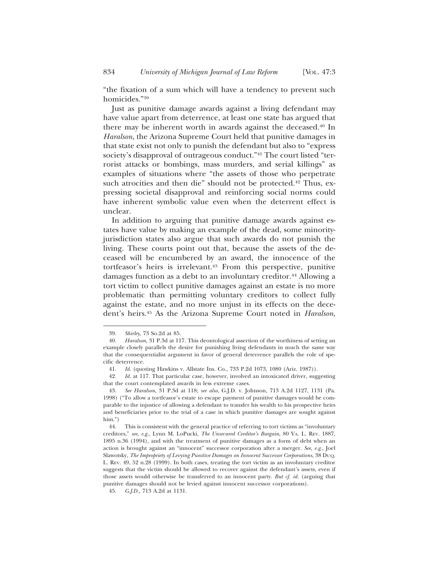"the fixation of a sum which will have a tendency to prevent such homicides."39

Just as punitive damage awards against a living defendant may have value apart from deterrence, at least one state has argued that there may be inherent worth in awards against the deceased.40 In *Haralson*, the Arizona Supreme Court held that punitive damages in that state exist not only to punish the defendant but also to "express society's disapproval of outrageous conduct."<sup>41</sup> The court listed "terrorist attacks or bombings, mass murders, and serial killings" as examples of situations where "the assets of those who perpetrate such atrocities and then die" should not be protected. $42$  Thus, expressing societal disapproval and reinforcing social norms could have inherent symbolic value even when the deterrent effect is unclear.

In addition to arguing that punitive damage awards against estates have value by making an example of the dead, some minorityjurisdiction states also argue that such awards do not punish the living. These courts point out that, because the assets of the deceased will be encumbered by an award, the innocence of the tortfeasor's heirs is irrelevant.43 From this perspective, punitive damages function as a debt to an involuntary creditor.<sup>44</sup> Allowing a tort victim to collect punitive damages against an estate is no more problematic than permitting voluntary creditors to collect fully against the estate, and no more unjust in its effects on the decedent's heirs.45 As the Arizona Supreme Court noted in *Haralson*,

<sup>39.</sup> *Shirley*, 73 So.2d at 85.

<sup>40.</sup> *Haralson*, 31 P.3d at 117. This deontological assertion of the worthiness of setting an example closely parallels the desire for punishing living defendants in much the same way that the consequentialist argument in favor of general deterrence parallels the role of specific deterrence.

<sup>41.</sup> *Id*. (quoting Hawkins v. Allstate Ins. Co., 733 P.2d 1073, 1080 (Ariz. 1987)).

<sup>42.</sup> *Id.* at 117. That particular case, however, involved an intoxicated driver, suggesting that the court contemplated awards in less extreme cases.

<sup>43.</sup> *See Haralson*, 31 P.3d at 118; *see also*, G.J.D. v. Johnson, 713 A.2d 1127, 1131 (Pa. 1998) ("To allow a tortfeasor's estate to escape payment of punitive damages would be comparable to the injustice of allowing a defendant to transfer his wealth to his prospective heirs and beneficiaries prior to the trial of a case in which punitive damages are sought against him.")<br> $44.$ 

This is consistent with the general practice of referring to tort victims as "involuntary" creditors," *see, e.g.*, Lynn M. LoPucki, *The Unsecured Creditor's Bargain*, 80 VA. L. REV. 1887, 1895 n.36 (1994), and with the treatment of punitive damages as a form of debt when an action is brought against an "innocent" successor corporation after a merger. *See, e.g.*, Joel Slawotsky, *The Impropriety of Levying Punitive Damages on Innocent Successor Corporations*, 38 DUQ. L. REV. 49, 52 n.28 (1999). In both cases, treating the tort victim as an involuntary creditor suggests that the victim should be allowed to recover against the defendant's assets, even if those assets would otherwise be transferred to an innocent party. *But cf. id.* (arguing that punitive damages should not be levied against innocent successor corporations).

<sup>45.</sup> *G*.*J.D.*, 713 A.2d at 1131.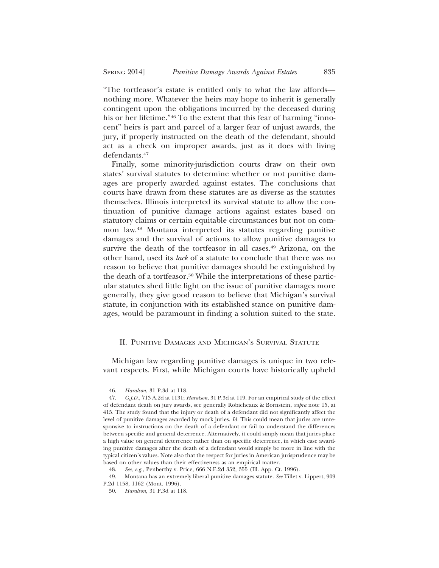"The tortfeasor's estate is entitled only to what the law affords nothing more. Whatever the heirs may hope to inherit is generally contingent upon the obligations incurred by the deceased during his or her lifetime."46 To the extent that this fear of harming "innocent" heirs is part and parcel of a larger fear of unjust awards, the jury, if properly instructed on the death of the defendant, should act as a check on improper awards, just as it does with living defendants.47

Finally, some minority-jurisdiction courts draw on their own states' survival statutes to determine whether or not punitive damages are properly awarded against estates. The conclusions that courts have drawn from these statutes are as diverse as the statutes themselves. Illinois interpreted its survival statute to allow the continuation of punitive damage actions against estates based on statutory claims or certain equitable circumstances but not on common law.48 Montana interpreted its statutes regarding punitive damages and the survival of actions to allow punitive damages to survive the death of the tortfeasor in all cases.<sup>49</sup> Arizona, on the other hand, used its *lack* of a statute to conclude that there was no reason to believe that punitive damages should be extinguished by the death of a tortfeasor.50 While the interpretations of these particular statutes shed little light on the issue of punitive damages more generally, they give good reason to believe that Michigan's survival statute, in conjunction with its established stance on punitive damages, would be paramount in finding a solution suited to the state.

#### II. PUNITIVE DAMAGES AND MICHIGAN'S SURVIVAL STATUTE

Michigan law regarding punitive damages is unique in two relevant respects. First, while Michigan courts have historically upheld

<sup>46.</sup> *Haralson*, 31 P.3d at 118.

<sup>47.</sup> *G.J.D.*, 713 A.2d at 1131; *Haralson*, 31 P.3d at 119. For an empirical study of the effect of defendant death on jury awards, see generally Robicheaux & Bornstein, *supra* note 15, at 415. The study found that the injury or death of a defendant did not significantly affect the level of punitive damages awarded by mock juries. *Id.* This could mean that juries are unresponsive to instructions on the death of a defendant or fail to understand the differences between specific and general deterrence. Alternatively, it could simply mean that juries place a high value on general deterrence rather than on specific deterrence, in which case awarding punitive damages after the death of a defendant would simply be more in line with the typical citizen's values. Note also that the respect for juries in American jurisprudence may be based on other values than their effectiveness as an empirical matter.

<sup>48.</sup> *See, e.g.*, Penberthy v. Price*,* 666 N.E.2d 352, 355 (Ill. App. Ct. 1996).

<sup>49.</sup> Montana has an extremely liberal punitive damages statute. *See* Tillet v. Lippert, 909 P.2d 1158, 1162 (Mont. 1996).

<sup>50.</sup> *Haralson*, 31 P.3d at 118.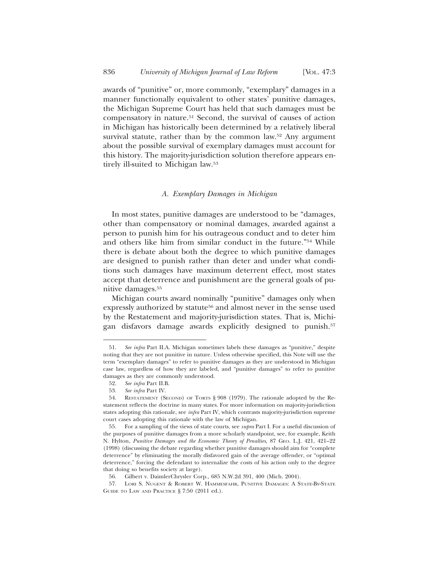awards of "punitive" or, more commonly, "exemplary" damages in a manner functionally equivalent to other states' punitive damages, the Michigan Supreme Court has held that such damages must be compensatory in nature.51 Second, the survival of causes of action in Michigan has historically been determined by a relatively liberal survival statute, rather than by the common law.<sup>52</sup> Any argument about the possible survival of exemplary damages must account for this history. The majority-jurisdiction solution therefore appears entirely ill-suited to Michigan law.53

#### *A. Exemplary Damages in Michigan*

In most states, punitive damages are understood to be "damages, other than compensatory or nominal damages, awarded against a person to punish him for his outrageous conduct and to deter him and others like him from similar conduct in the future."54 While there is debate about both the degree to which punitive damages are designed to punish rather than deter and under what conditions such damages have maximum deterrent effect, most states accept that deterrence and punishment are the general goals of punitive damages.55

Michigan courts award nominally "punitive" damages only when expressly authorized by statute<sup>56</sup> and almost never in the sense used by the Restatement and majority-jurisdiction states. That is, Michigan disfavors damage awards explicitly designed to punish.57

<sup>51.</sup> *See infra* Part II.A. Michigan sometimes labels these damages as "punitive," despite noting that they are not punitive in nature. Unless otherwise specified, this Note will use the term "exemplary damages" to refer to punitive damages as they are understood in Michigan case law, regardless of how they are labeled, and "punitive damages" to refer to punitive damages as they are commonly understood.

<sup>52.</sup> *See infra* Part II.B.

<sup>53.</sup> *See infra* Part IV.

<sup>54.</sup> RESTATEMENT (SECOND) OF TORTS § 908 (1979). The rationale adopted by the Restatement reflects the doctrine in many states. For more information on majority-jurisdiction states adopting this rationale, see *infra* Part IV, which contrasts majority-jurisdiction supreme court cases adopting this rationale with the law of Michigan.

<sup>55.</sup> For a sampling of the views of state courts, see *supra* Part I. For a useful discussion of the purposes of punitive damages from a more scholarly standpoint, see, for example, Keith N. Hylton, *Punitive Damages and the Economic Theory of Penalties*, 87 GEO. L.J. 421, 421–22 (1998) (discussing the debate regarding whether punitive damages should aim for "complete deterrence" by eliminating the morally disfavored gain of the average offender, or "optimal deterrence," forcing the defendant to internalize the costs of his action only to the degree that doing so benefits society at large).

<sup>56.</sup> Gilbert v. DaimlerChrysler Corp., 685 N.W.2d 391, 400 (Mich. 2004).

<sup>57.</sup> LORI S. NUGENT & ROBERT W. HAMMESFAHR, PUNITIVE DAMAGES: A STATE-BY-STATE GUIDE TO LAW AND PRACTICE § 7:50 (2011 ed.).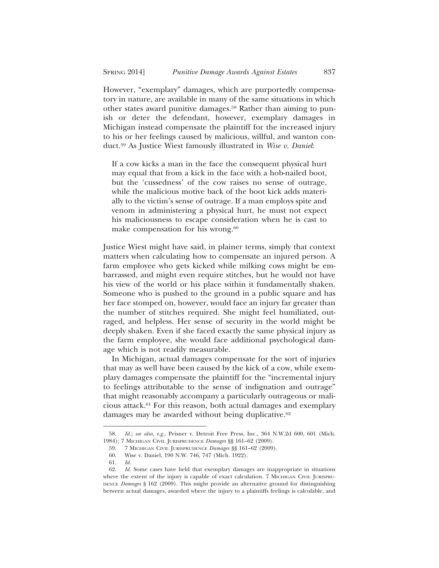However, "exemplary" damages, which are purportedly compensatory in nature, are available in many of the same situations in which other states award punitive damages.58 Rather than aiming to punish or deter the defendant, however, exemplary damages in Michigan instead compensate the plaintiff for the increased injury to his or her feelings caused by malicious, willful, and wanton conduct.59 As Justice Wiest famously illustrated in *Wise v. Daniel*:

If a cow kicks a man in the face the consequent physical hurt may equal that from a kick in the face with a hob-nailed boot, but the 'cussedness' of the cow raises no sense of outrage, while the malicious motive back of the boot kick adds materially to the victim's sense of outrage. If a man employs spite and venom in administering a physical hurt, he must not expect his maliciousness to escape consideration when he is cast to make compensation for his wrong.<sup>60</sup>

Justice Wiest might have said, in plainer terms, simply that context matters when calculating how to compensate an injured person. A farm employee who gets kicked while milking cows might be embarrassed, and might even require stitches, but he would not have his view of the world or his place within it fundamentally shaken. Someone who is pushed to the ground in a public square and has her face stomped on, however, would face an injury far greater than the number of stitches required. She might feel humiliated, outraged, and helpless. Her sense of security in the world might be deeply shaken. Even if she faced exactly the same physical injury as the farm employee, she would face additional psychological damage which is not readily measurable.

In Michigan, actual damages compensate for the sort of injuries that may as well have been caused by the kick of a cow, while exemplary damages compensate the plaintiff for the "incremental injury to feelings attributable to the sense of indignation and outrage" that might reasonably accompany a particularly outrageous or malicious attack.61 For this reason, both actual damages and exemplary damages may be awarded without being duplicative.<sup>62</sup>

<sup>58.</sup> *Id.*; *see also, e.g.,* Peisner v. Detroit Free Press, Inc*.*, 364 N.W.2d 600, 601 (Mich. 1984); 7 MICHIGAN CIVIL JURISPRUDENCE *Damages* §§ 161–62 (2009).

<sup>59. 7</sup> MICHIGAN CIVIL JURISPRUDENCE *Damages* §§ 161–62 (2009).

<sup>60.</sup> Wise v. Daniel, 190 N.W. 746, 747 (Mich. 1922).

<sup>61.</sup> *Id.*

<sup>62.</sup> *Id.* Some cases have held that exemplary damages are inappropriate in situations where the extent of the injury is capable of exact calculation. 7 MICHIGAN CIVIL JURISPRU-DENCE *Damages* § 162 (2009). This might provide an alternative ground for distinguishing between actual damages, awarded where the injury to a plaintiffs feelings is calculable, and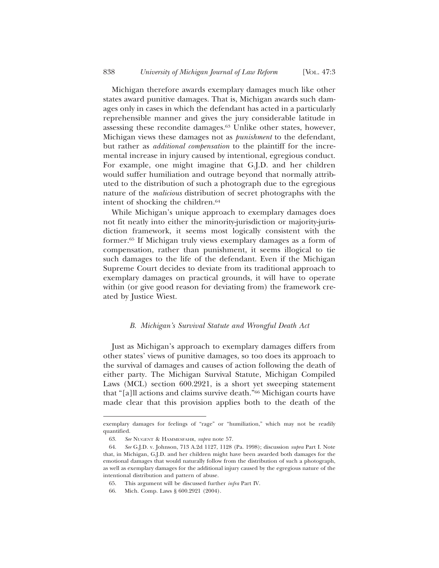Michigan therefore awards exemplary damages much like other states award punitive damages. That is, Michigan awards such damages only in cases in which the defendant has acted in a particularly reprehensible manner and gives the jury considerable latitude in assessing these recondite damages.63 Unlike other states, however, Michigan views these damages not as *punishment* to the defendant, but rather as *additional compensation* to the plaintiff for the incremental increase in injury caused by intentional, egregious conduct. For example, one might imagine that G.J.D. and her children would suffer humiliation and outrage beyond that normally attributed to the distribution of such a photograph due to the egregious nature of the *malicious* distribution of secret photographs with the intent of shocking the children.<sup>64</sup>

While Michigan's unique approach to exemplary damages does not fit neatly into either the minority-jurisdiction or majority-jurisdiction framework, it seems most logically consistent with the former.65 If Michigan truly views exemplary damages as a form of compensation, rather than punishment, it seems illogical to tie such damages to the life of the defendant. Even if the Michigan Supreme Court decides to deviate from its traditional approach to exemplary damages on practical grounds, it will have to operate within (or give good reason for deviating from) the framework created by Justice Wiest.

#### *B. Michigan's Survival Statute and Wrongful Death Act*

Just as Michigan's approach to exemplary damages differs from other states' views of punitive damages, so too does its approach to the survival of damages and causes of action following the death of either party. The Michigan Survival Statute, Michigan Compiled Laws (MCL) section 600.2921, is a short yet sweeping statement that "[a]ll actions and claims survive death."66 Michigan courts have made clear that this provision applies both to the death of the

exemplary damages for feelings of "rage" or "humiliation," which may not be readily quantified.

<sup>63.</sup> *See* NUGENT & HAMMESFAHR, *supra* note 57.

<sup>64.</sup> *See* G.J.D. v. Johnson, 713 A.2d 1127, 1128 (Pa. 1998); discussion *supra* Part I. Note that, in Michigan, G.J.D. and her children might have been awarded both damages for the emotional damages that would naturally follow from the distribution of such a photograph, as well as exemplary damages for the additional injury caused by the egregious nature of the intentional distribution and pattern of abuse.

<sup>65.</sup> This argument will be discussed further *infra* Part IV.

<sup>66.</sup> Mich. Comp. Laws § 600.2921 (2004).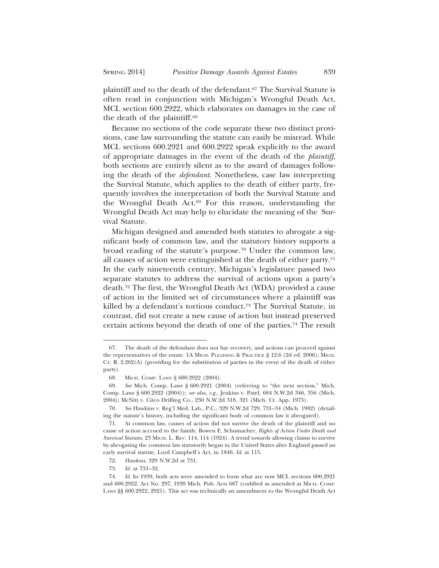plaintiff and to the death of the defendant.<sup>67</sup> The Survival Statute is often read in conjunction with Michigan's Wrongful Death Act, MCL section 600.2922, which elaborates on damages in the case of the death of the plaintiff.68

Because no sections of the code separate these two distinct provisions, case law surrounding the statute can easily be misread. While MCL sections 600.2921 and 600.2922 speak explicitly to the award of appropriate damages in the event of the death of the *plaintiff*, both sections are entirely silent as to the award of damages following the death of the *defendant*. Nonetheless, case law interpreting the Survival Statute, which applies to the death of either party, frequently involves the interpretation of both the Survival Statute and the Wrongful Death Act.69 For this reason, understanding the Wrongful Death Act may help to elucidate the meaning of the Survival Statute.

Michigan designed and amended both statutes to abrogate a significant body of common law, and the statutory history supports a broad reading of the statute's purpose.70 Under the common law, all causes of action were extinguished at the death of either party.71 In the early nineteenth century, Michigan's legislature passed two separate statutes to address the survival of actions upon a party's death.72 The first, the Wrongful Death Act (WDA) provided a cause of action in the limited set of circumstances where a plaintiff was killed by a defendant's tortious conduct.<sup>73</sup> The Survival Statute, in contrast, did not create a new cause of action but instead preserved certain actions beyond the death of one of the parties.74 The result

<sup>67.</sup> The death of the defendant does not bar recovery, and actions can proceed against the representatives of the estate. 1A MICH. PLEADING & PRACTICE § 12:6 (2d ed. 2006); MICH. CT. R. 2.202(A) (providing for the substitution of parties in the event of the death of either party).

<sup>68.</sup> MICH. COMP. LAWS § 600.2922 (2004).

<sup>69.</sup> *See* Mich. Comp. Laws § 600.2921 (2004) (referring to "the next section," Mich. Comp. Laws § 600.2922 (2004)); *see also, e.g.*, Jenkins v. Patel, 684 N.W.2d 346, 356 (Mich. 2004); McNitt v. Citco Drilling Co., 230 N.W.2d 318, 321 (Mich. Ct. App. 1975).

<sup>70.</sup> *See* Hawkins v. Reg'l Med. Lab., P.C., 329 N.W.2d 729, 731–34 (Mich. 1982) (detailing the statute's history, including the significant body of common law it abrogated).

<sup>71.</sup> At common law, causes of action did not survive the death of the plaintiff and no cause of action accrued to the family. Bowen E. Schumacher, *Rights of Action Under Death and Survival Statutes*, 23 MICH. L. REV. 114, 114 (1924). A trend towards allowing claims to survive by abrogating the common law statutorily began in the United States after England passed an early survival statute, Lord Campbell's Act, in 1846. *Id*. at 115.

<sup>72.</sup> *Hawkins*, 329 N.W.2d at 731.

<sup>73.</sup> *Id.* at 731–32.

<sup>74.</sup> *Id*. In 1939, both acts were amended to form what are now MCL sections 600.2921 and 600.2922. Act No. 297, 1939 Mich. Pub. Acts 687 (codified as amended at MICH. COMP. LAWS §§ 600.2922, 2921). This act was technically an amendment to the Wrongful Death Act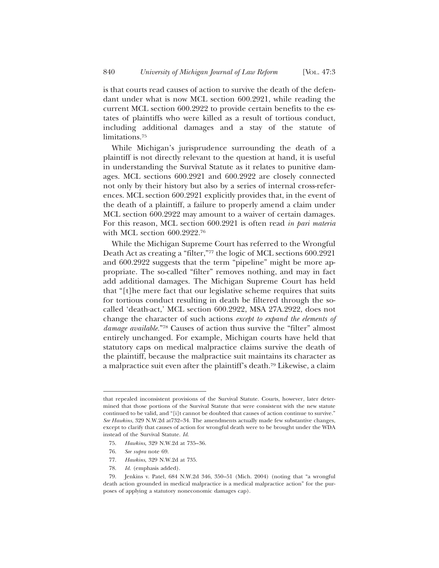is that courts read causes of action to survive the death of the defendant under what is now MCL section 600.2921, while reading the current MCL section 600.2922 to provide certain benefits to the estates of plaintiffs who were killed as a result of tortious conduct, including additional damages and a stay of the statute of limitations.75

While Michigan's jurisprudence surrounding the death of a plaintiff is not directly relevant to the question at hand, it is useful in understanding the Survival Statute as it relates to punitive damages. MCL sections 600.2921 and 600.2922 are closely connected not only by their history but also by a series of internal cross-references. MCL section 600.2921 explicitly provides that, in the event of the death of a plaintiff, a failure to properly amend a claim under MCL section 600.2922 may amount to a waiver of certain damages. For this reason, MCL section 600.2921 is often read *in pari materia* with MCL section 600.2922.76

While the Michigan Supreme Court has referred to the Wrongful Death Act as creating a "filter,"77 the logic of MCL sections 600.2921 and 600.2922 suggests that the term "pipeline" might be more appropriate. The so-called "filter" removes nothing, and may in fact add additional damages. The Michigan Supreme Court has held that "[t]he mere fact that our legislative scheme requires that suits for tortious conduct resulting in death be filtered through the socalled 'death-act,' MCL section 600.2922, MSA 27A.2922, does not change the character of such actions *except to expand the elements of damage available.*"78 Causes of action thus survive the "filter" almost entirely unchanged. For example, Michigan courts have held that statutory caps on medical malpractice claims survive the death of the plaintiff, because the malpractice suit maintains its character as a malpractice suit even after the plaintiff's death.79 Likewise, a claim

that repealed inconsistent provisions of the Survival Statute. Courts, however, later determined that those portions of the Survival Statute that were consistent with the new statute continued to be valid, and "[i]t cannot be doubted that causes of action continue to survive." *See Hawkins*, 329 N.W.2d at732–34. The amendments actually made few substantive changes, except to clarify that causes of action for wrongful death were to be brought under the WDA instead of the Survival Statute. *Id*.

<sup>75.</sup> *Hawkins*, 329 N.W.2d at 735–36.

<sup>76.</sup> *See supra* note 69.

<sup>77.</sup> *Hawkins*, 329 N.W.2d at 735.

<sup>78.</sup> *Id.* (emphasis added).

<sup>79.</sup> Jenkins v. Patel, 684 N.W.2d 346, 350–51 (Mich. 2004) (noting that "a wrongful death action grounded in medical malpractice is a medical malpractice action" for the purposes of applying a statutory noneconomic damages cap).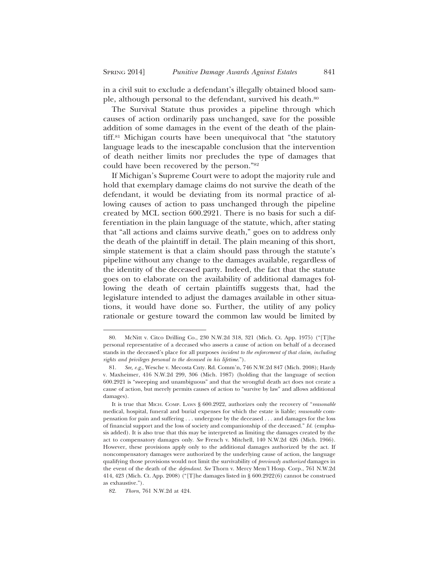in a civil suit to exclude a defendant's illegally obtained blood sample, although personal to the defendant, survived his death.<sup>80</sup>

The Survival Statute thus provides a pipeline through which causes of action ordinarily pass unchanged, save for the possible addition of some damages in the event of the death of the plaintiff.81 Michigan courts have been unequivocal that "the statutory language leads to the inescapable conclusion that the intervention of death neither limits nor precludes the type of damages that could have been recovered by the person."82

If Michigan's Supreme Court were to adopt the majority rule and hold that exemplary damage claims do not survive the death of the defendant, it would be deviating from its normal practice of allowing causes of action to pass unchanged through the pipeline created by MCL section 600.2921. There is no basis for such a differentiation in the plain language of the statute, which, after stating that "all actions and claims survive death," goes on to address only the death of the plaintiff in detail. The plain meaning of this short, simple statement is that a claim should pass through the statute's pipeline without any change to the damages available, regardless of the identity of the deceased party. Indeed, the fact that the statute goes on to elaborate on the availability of additional damages following the death of certain plaintiffs suggests that, had the legislature intended to adjust the damages available in other situations, it would have done so. Further, the utility of any policy rationale or gesture toward the common law would be limited by

<sup>80.</sup> McNitt v. Citco Drilling Co., 230 N.W.2d 318, 321 (Mich. Ct. App. 1975) ("[T]he personal representative of a deceased who asserts a cause of action on behalf of a deceased stands in the deceased's place for all purposes *incident to the enforcement of that claim, including rights and privileges personal to the deceased in his lifetime*.").

<sup>81.</sup> *See, e.g.*, Wesche v. Mecosta Cnty. Rd. Comm'n, 746 N.W.2d 847 (Mich. 2008); Hardy v. Maxheimer, 416 N.W.2d 299, 306 (Mich. 1987) (holding that the language of section 600.2921 is "sweeping and unambiguous" and that the wrongful death act does not create a cause of action, but merely permits causes of action to "survive by law" and allows additional damages).

It is true that MICH. COMP. LAWS § 600.2922, authorizes only the recovery of "*reasonable* medical, hospital, funeral and burial expenses for which the estate is liable; *reasonable* compensation for pain and suffering . . . undergone by the deceased . . . and damages for the loss of financial support and the loss of society and companionship of the deceased." *Id.* (emphasis added). It is also true that this may be interpreted as limiting the damages created by the act to compensatory damages only. *See* French v. Mitchell, 140 N.W.2d 426 (Mich. 1966). However, these provisions apply only to the additional damages authorized by the act. If noncompensatory damages were authorized by the underlying cause of action, the language qualifying those provisions would not limit the survivability of *previously authorized* damages in the event of the death of the *defendant*. *See* Thorn v. Mercy Mem'l Hosp. Corp*.*, 761 N.W.2d 414, 423 (Mich. Ct. App. 2008) ("[T]he damages listed in § 600.2922(6) cannot be construed as exhaustive.").

<sup>82.</sup> *Thorn*, 761 N.W.2d at 424.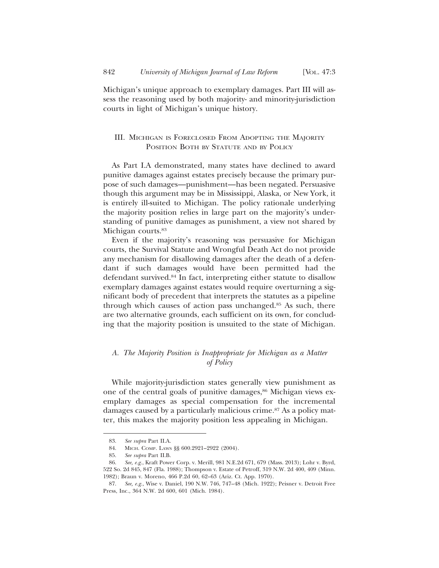Michigan's unique approach to exemplary damages. Part III will assess the reasoning used by both majority- and minority-jurisdiction courts in light of Michigan's unique history.

# III. MICHIGAN IS FORECLOSED FROM ADOPTING THE MAJORITY POSITION BOTH BY STATUTE AND BY POLICY

As Part I.A demonstrated, many states have declined to award punitive damages against estates precisely because the primary purpose of such damages—punishment—has been negated. Persuasive though this argument may be in Mississippi, Alaska, or New York, it is entirely ill-suited to Michigan. The policy rationale underlying the majority position relies in large part on the majority's understanding of punitive damages as punishment, a view not shared by Michigan courts.<sup>83</sup>

Even if the majority's reasoning was persuasive for Michigan courts, the Survival Statute and Wrongful Death Act do not provide any mechanism for disallowing damages after the death of a defendant if such damages would have been permitted had the defendant survived.84 In fact, interpreting either statute to disallow exemplary damages against estates would require overturning a significant body of precedent that interprets the statutes as a pipeline through which causes of action pass unchanged.85 As such, there are two alternative grounds, each sufficient on its own, for concluding that the majority position is unsuited to the state of Michigan.

# *A. The Majority Position is Inappropriate for Michigan as a Matter of Policy*

While majority-jurisdiction states generally view punishment as one of the central goals of punitive damages,<sup>86</sup> Michigan views exemplary damages as special compensation for the incremental damages caused by a particularly malicious crime.<sup>87</sup> As a policy matter, this makes the majority position less appealing in Michigan.

<sup>83.</sup> *See supra* Part II.A.

<sup>84.</sup> MICH. COMP. LAWS §§ 600.2921–2922 (2004).

<sup>85.</sup> *See supra* Part II.B.

<sup>86.</sup> *See, e.g.*, Kraft Power Corp. v. Merill, 981 N.E.2d 671, 679 (Mass. 2013); Lohr v. Byrd, 522 So. 2d 845, 847 (Fla. 1988); Thompson v. Estate of Petroff, 319 N.W. 2d 400, 409 (Minn. 1982); Braun v. Moreno, 466 P.2d 60, 62–63 (Ariz. Ct. App. 1970).

<sup>87.</sup> *See, e.g.*, Wise v. Daniel, 190 N.W. 746, 747–48 (Mich. 1922); Peisner v. Detroit Free Press, Inc., 364 N.W. 2d 600, 601 (Mich. 1984).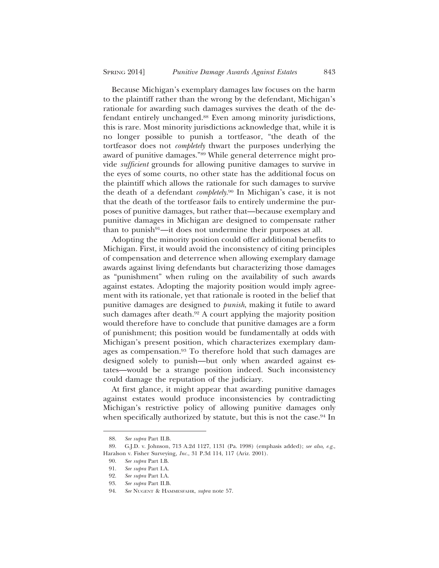Because Michigan's exemplary damages law focuses on the harm to the plaintiff rather than the wrong by the defendant, Michigan's rationale for awarding such damages survives the death of the defendant entirely unchanged.88 Even among minority jurisdictions, this is rare. Most minority jurisdictions acknowledge that, while it is no longer possible to punish a tortfeasor, "the death of the tortfeasor does not *completely* thwart the purposes underlying the award of punitive damages."89 While general deterrence might provide *sufficient* grounds for allowing punitive damages to survive in the eyes of some courts, no other state has the additional focus on the plaintiff which allows the rationale for such damages to survive the death of a defendant *completely*. 90 In Michigan's case, it is not that the death of the tortfeasor fails to entirely undermine the purposes of punitive damages, but rather that—because exemplary and punitive damages in Michigan are designed to compensate rather than to punish<sup>91</sup>—it does not undermine their purposes at all.

Adopting the minority position could offer additional benefits to Michigan. First, it would avoid the inconsistency of citing principles of compensation and deterrence when allowing exemplary damage awards against living defendants but characterizing those damages as "punishment" when ruling on the availability of such awards against estates. Adopting the majority position would imply agreement with its rationale, yet that rationale is rooted in the belief that punitive damages are designed to *punish*, making it futile to award such damages after death.<sup>92</sup> A court applying the majority position would therefore have to conclude that punitive damages are a form of punishment; this position would be fundamentally at odds with Michigan's present position, which characterizes exemplary damages as compensation.93 To therefore hold that such damages are designed solely to punish—but only when awarded against estates—would be a strange position indeed. Such inconsistency could damage the reputation of the judiciary.

At first glance, it might appear that awarding punitive damages against estates would produce inconsistencies by contradicting Michigan's restrictive policy of allowing punitive damages only when specifically authorized by statute, but this is not the case.<sup>94</sup> In

<sup>88.</sup> *See supra* Part II.B.

<sup>89.</sup> G.J.D. v. Johnson, 713 A.2d 1127, 1131 (Pa. 1998) (emphasis added); *see also, e.g.*, Haralson v. Fisher Surveying*, Inc.*, 31 P.3d 114, 117 (Ariz. 2001).

<sup>90.</sup> *See supra* Part I.B.

<sup>91.</sup> *See supra* Part I.A.

<sup>92.</sup> *See supra* Part I.A.

<sup>93.</sup> *See supra* Part II.B.

<sup>94.</sup> *See* NUGENT & HAMMESFAHR, *supra* note 57.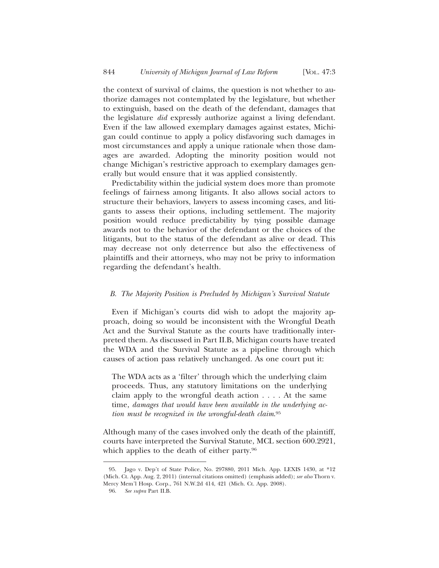the context of survival of claims, the question is not whether to authorize damages not contemplated by the legislature, but whether to extinguish, based on the death of the defendant, damages that the legislature *did* expressly authorize against a living defendant. Even if the law allowed exemplary damages against estates, Michigan could continue to apply a policy disfavoring such damages in most circumstances and apply a unique rationale when those damages are awarded. Adopting the minority position would not change Michigan's restrictive approach to exemplary damages generally but would ensure that it was applied consistently.

Predictability within the judicial system does more than promote feelings of fairness among litigants. It also allows social actors to structure their behaviors, lawyers to assess incoming cases, and litigants to assess their options, including settlement. The majority position would reduce predictability by tying possible damage awards not to the behavior of the defendant or the choices of the litigants, but to the status of the defendant as alive or dead. This may decrease not only deterrence but also the effectiveness of plaintiffs and their attorneys, who may not be privy to information regarding the defendant's health.

#### *B. The Majority Position is Precluded by Michigan's Survival Statute*

Even if Michigan's courts did wish to adopt the majority approach, doing so would be inconsistent with the Wrongful Death Act and the Survival Statute as the courts have traditionally interpreted them. As discussed in Part II.B, Michigan courts have treated the WDA and the Survival Statute as a pipeline through which causes of action pass relatively unchanged. As one court put it:

The WDA acts as a 'filter' through which the underlying claim proceeds. Thus, any statutory limitations on the underlying claim apply to the wrongful death action . . . . At the same time, *damages that would have been available in the underlying action must be recognized in the wrongful-death claim*. 95

Although many of the cases involved only the death of the plaintiff, courts have interpreted the Survival Statute, MCL section 600.2921, which applies to the death of either party.<sup>96</sup>

<sup>95.</sup> Jago v. Dep't of State Police, No. 297880, 2011 Mich. App. LEXIS 1430, at \*12 (Mich. Ct. App. Aug. 2, 2011) (internal citations omitted) (emphasis added); *see also* Thorn v. Mercy Mem'l Hosp. Corp*.*, 761 N.W.2d 414, 421 (Mich. Ct. App. 2008).

<sup>96.</sup> *See supra* Part II.B.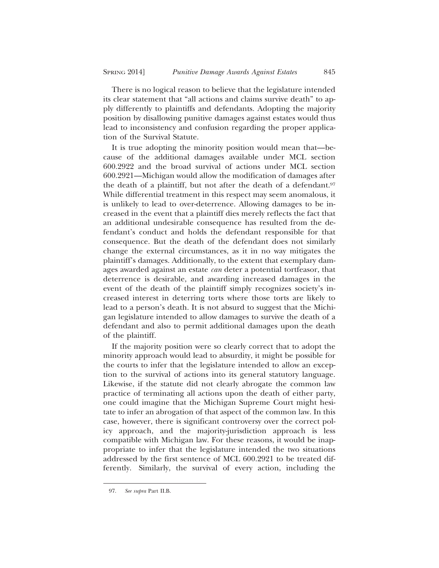There is no logical reason to believe that the legislature intended its clear statement that "all actions and claims survive death" to apply differently to plaintiffs and defendants. Adopting the majority position by disallowing punitive damages against estates would thus lead to inconsistency and confusion regarding the proper application of the Survival Statute.

It is true adopting the minority position would mean that—because of the additional damages available under MCL section 600.2922 and the broad survival of actions under MCL section 600.2921—Michigan would allow the modification of damages after the death of a plaintiff, but not after the death of a defendant.<sup>97</sup> While differential treatment in this respect may seem anomalous, it is unlikely to lead to over-deterrence. Allowing damages to be increased in the event that a plaintiff dies merely reflects the fact that an additional undesirable consequence has resulted from the defendant's conduct and holds the defendant responsible for that consequence. But the death of the defendant does not similarly change the external circumstances, as it in no way mitigates the plaintiff's damages. Additionally, to the extent that exemplary damages awarded against an estate *can* deter a potential tortfeasor, that deterrence is desirable, and awarding increased damages in the event of the death of the plaintiff simply recognizes society's increased interest in deterring torts where those torts are likely to lead to a person's death. It is not absurd to suggest that the Michigan legislature intended to allow damages to survive the death of a defendant and also to permit additional damages upon the death of the plaintiff.

If the majority position were so clearly correct that to adopt the minority approach would lead to absurdity, it might be possible for the courts to infer that the legislature intended to allow an exception to the survival of actions into its general statutory language. Likewise, if the statute did not clearly abrogate the common law practice of terminating all actions upon the death of either party, one could imagine that the Michigan Supreme Court might hesitate to infer an abrogation of that aspect of the common law. In this case, however, there is significant controversy over the correct policy approach, and the majority-jurisdiction approach is less compatible with Michigan law. For these reasons, it would be inappropriate to infer that the legislature intended the two situations addressed by the first sentence of MCL 600.2921 to be treated differently. Similarly, the survival of every action, including the

<sup>97.</sup> *See supra* Part II.B.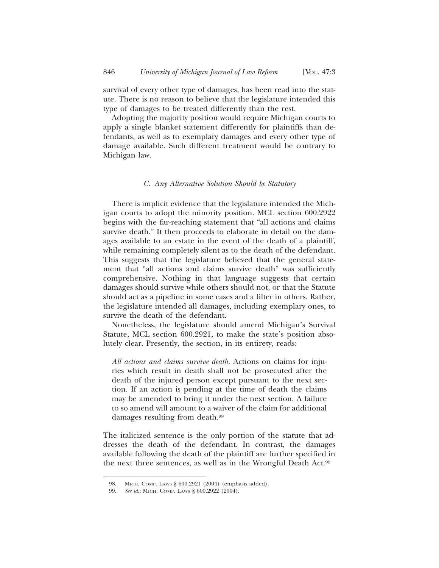survival of every other type of damages, has been read into the statute. There is no reason to believe that the legislature intended this type of damages to be treated differently than the rest.

Adopting the majority position would require Michigan courts to apply a single blanket statement differently for plaintiffs than defendants, as well as to exemplary damages and every other type of damage available. Such different treatment would be contrary to Michigan law.

#### *C. Any Alternative Solution Should be Statutory*

There is implicit evidence that the legislature intended the Michigan courts to adopt the minority position. MCL section 600.2922 begins with the far-reaching statement that "all actions and claims survive death." It then proceeds to elaborate in detail on the damages available to an estate in the event of the death of a plaintiff, while remaining completely silent as to the death of the defendant. This suggests that the legislature believed that the general statement that "all actions and claims survive death" was sufficiently comprehensive. Nothing in that language suggests that certain damages should survive while others should not, or that the Statute should act as a pipeline in some cases and a filter in others. Rather, the legislature intended all damages, including exemplary ones, to survive the death of the defendant.

Nonetheless, the legislature should amend Michigan's Survival Statute, MCL section 600.2921, to make the state's position absolutely clear. Presently, the section, in its entirety, reads:

*All actions and claims survive death.* Actions on claims for injuries which result in death shall not be prosecuted after the death of the injured person except pursuant to the next section. If an action is pending at the time of death the claims may be amended to bring it under the next section. A failure to so amend will amount to a waiver of the claim for additional damages resulting from death.98

The italicized sentence is the only portion of the statute that addresses the death of the defendant. In contrast, the damages available following the death of the plaintiff are further specified in the next three sentences, as well as in the Wrongful Death Act.99

<sup>98.</sup> MICH. COMP. LAWS § 600.2921 (2004) (emphasis added).

<sup>99.</sup> *See id.*; MICH. COMP. LAWS § 600.2922 (2004).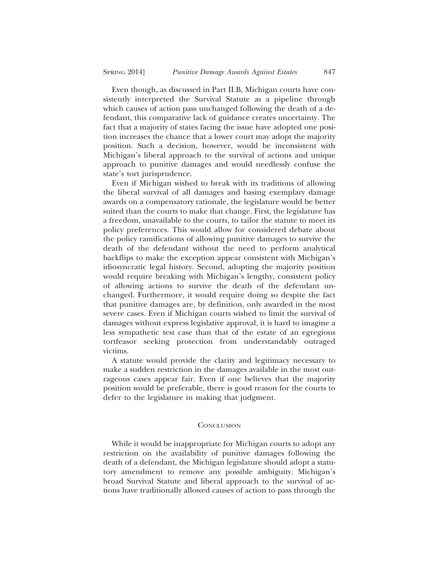Even though, as discussed in Part II.B, Michigan courts have consistently interpreted the Survival Statute as a pipeline through which causes of action pass unchanged following the death of a defendant, this comparative lack of guidance creates uncertainty. The fact that a majority of states facing the issue have adopted one position increases the chance that a lower court may adopt the majority position. Such a decision, however, would be inconsistent with Michigan's liberal approach to the survival of actions and unique approach to punitive damages and would needlessly confuse the state's tort jurisprudence.

Even if Michigan wished to break with its traditions of allowing the liberal survival of all damages and basing exemplary damage awards on a compensatory rationale, the legislature would be better suited than the courts to make that change. First, the legislature has a freedom, unavailable to the courts, to tailor the statute to meet its policy preferences. This would allow for considered debate about the policy ramifications of allowing punitive damages to survive the death of the defendant without the need to perform analytical backflips to make the exception appear consistent with Michigan's idiosyncratic legal history. Second, adopting the majority position would require breaking with Michigan's lengthy, consistent policy of allowing actions to survive the death of the defendant unchanged. Furthermore, it would require doing so despite the fact that punitive damages are, by definition, only awarded in the most severe cases. Even if Michigan courts wished to limit the survival of damages without express legislative approval, it is hard to imagine a less sympathetic test case than that of the estate of an egregious tortfeasor seeking protection from understandably outraged victims.

A statute would provide the clarity and legitimacy necessary to make a sudden restriction in the damages available in the most outrageous cases appear fair. Even if one believes that the majority position would be preferable, there is good reason for the courts to defer to the legislature in making that judgment.

#### **CONCLUSION**

While it would be inappropriate for Michigan courts to adopt any restriction on the availability of punitive damages following the death of a defendant, the Michigan legislature should adopt a statutory amendment to remove any possible ambiguity. Michigan's broad Survival Statute and liberal approach to the survival of actions have traditionally allowed causes of action to pass through the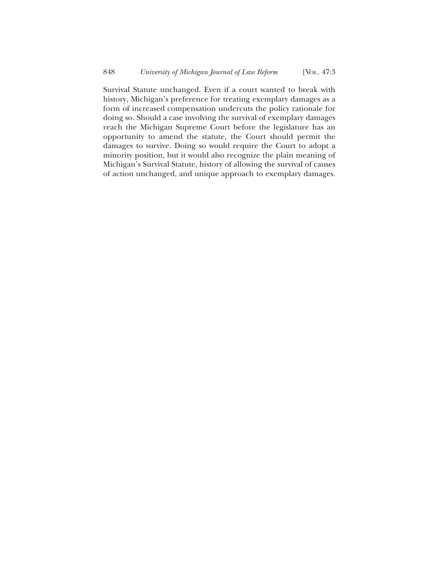Survival Statute unchanged. Even if a court wanted to break with history, Michigan's preference for treating exemplary damages as a form of increased compensation undercuts the policy rationale for doing so. Should a case involving the survival of exemplary damages reach the Michigan Supreme Court before the legislature has an opportunity to amend the statute, the Court should permit the damages to survive. Doing so would require the Court to adopt a minority position, but it would also recognize the plain meaning of Michigan's Survival Statute, history of allowing the survival of causes of action unchanged, and unique approach to exemplary damages.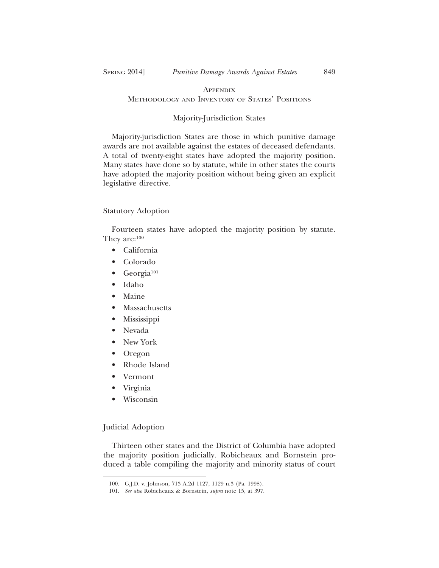# **APPENDIX** METHODOLOGY AND INVENTORY OF STATES' POSITIONS

# Majority-Jurisdiction States

Majority-jurisdiction States are those in which punitive damage awards are not available against the estates of deceased defendants. A total of twenty-eight states have adopted the majority position. Many states have done so by statute, while in other states the courts have adopted the majority position without being given an explicit legislative directive.

#### Statutory Adoption

Fourteen states have adopted the majority position by statute. They are:100

- California
- Colorado
- $\bullet$  Georgia<sup>101</sup>
- Idaho
- Maine
- Massachusetts
- Mississippi
- Nevada
- New York
- Oregon
- Rhode Island
- Vermont
- Virginia
- Wisconsin

## Judicial Adoption

Thirteen other states and the District of Columbia have adopted the majority position judicially. Robicheaux and Bornstein produced a table compiling the majority and minority status of court

<sup>100.</sup> G.J.D. v. Johnson, 713 A.2d 1127, 1129 n.3 (Pa. 1998).

<sup>101.</sup> *See also* Robicheaux & Bornstein, *supra* note 15, at 397.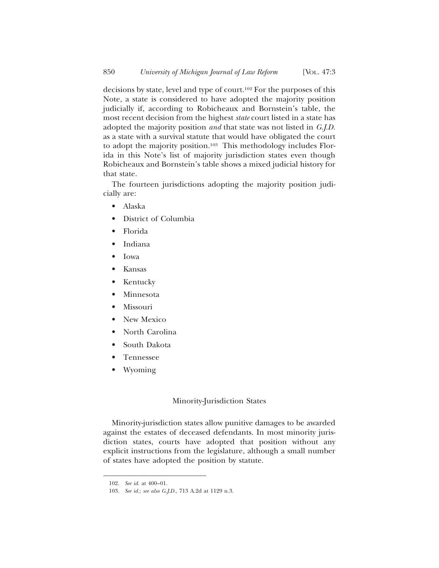decisions by state, level and type of court.102 For the purposes of this Note, a state is considered to have adopted the majority position judicially if, according to Robicheaux and Bornstein's table, the most recent decision from the highest *state* court listed in a state has adopted the majority position *and* that state was not listed in *G.J.D.* as a state with a survival statute that would have obligated the court to adopt the majority position.103 This methodology includes Florida in this Note's list of majority jurisdiction states even though Robicheaux and Bornstein's table shows a mixed judicial history for that state.

The fourteen jurisdictions adopting the majority position judicially are:

- Alaska
- District of Columbia
- Florida
- Indiana
- Iowa
- Kansas
- Kentucky
- Minnesota
- Missouri
- New Mexico
- North Carolina
- South Dakota
- Tennessee
- Wyoming

#### Minority-Jurisdiction States

Minority-jurisdiction states allow punitive damages to be awarded against the estates of deceased defendants. In most minority jurisdiction states, courts have adopted that position without any explicit instructions from the legislature, although a small number of states have adopted the position by statute.

<sup>102.</sup> *See id.* at 400–01.

<sup>103.</sup> *See id.*; *see also G.J.D.*, 713 A.2d at 1129 n.3.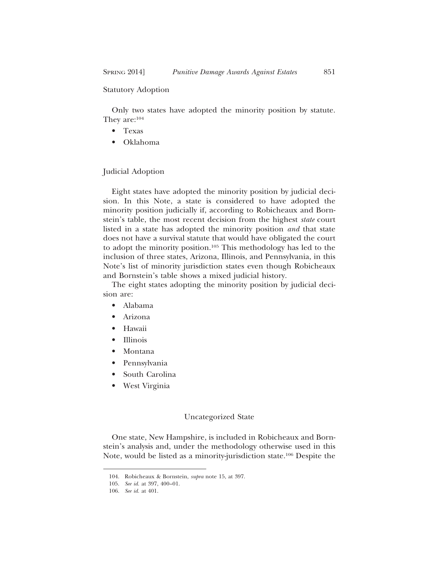#### Statutory Adoption

Only two states have adopted the minority position by statute. They are:104

- Texas
- Oklahoma

#### Judicial Adoption

Eight states have adopted the minority position by judicial decision. In this Note, a state is considered to have adopted the minority position judicially if, according to Robicheaux and Bornstein's table, the most recent decision from the highest *state* court listed in a state has adopted the minority position *and* that state does not have a survival statute that would have obligated the court to adopt the minority position.105 This methodology has led to the inclusion of three states, Arizona, Illinois, and Pennsylvania, in this Note's list of minority jurisdiction states even though Robicheaux and Bornstein's table shows a mixed judicial history.

The eight states adopting the minority position by judicial decision are:

- Alabama
- Arizona
- Hawaii
- Illinois
- Montana
- Pennsylvania
- South Carolina
- West Virginia

#### Uncategorized State

One state, New Hampshire, is included in Robicheaux and Bornstein's analysis and, under the methodology otherwise used in this Note, would be listed as a minority-jurisdiction state.106 Despite the

<sup>104.</sup> Robicheaux & Bornstein, *supra* note 15, at 397.

<sup>105.</sup> *See id.* at 397, 400–01.

<sup>106.</sup> *See id.* at 401.